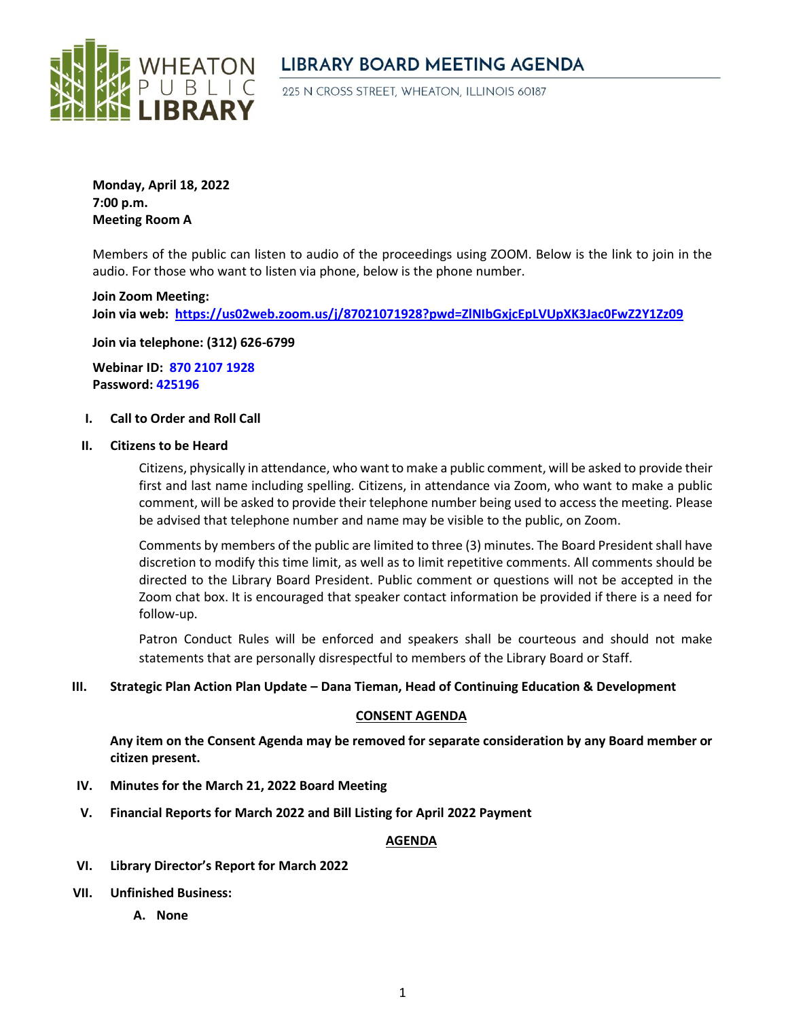

# **LIBRARY BOARD MEETING AGENDA**

225 N CROSS STREET, WHEATON, ILLINOIS 60187

**Monday, April 18, 2022 7:00 p.m. Meeting Room A**

Members of the public can listen to audio of the proceedings using ZOOM. Below is the link to join in the audio. For those who want to listen via phone, below is the phone number.

**Join Zoom Meeting: Join via web: <https://us02web.zoom.us/j/87021071928?pwd=ZlNIbGxjcEpLVUpXK3Jac0FwZ2Y1Zz09>**

**Join via telephone: (312) 626-6799**

**Webinar ID: 870 2107 1928 Password: 425196**

#### **I. Call to Order and Roll Call**

#### **II. Citizens to be Heard**

Citizens, physically in attendance, who want to make a public comment, will be asked to provide their first and last name including spelling. Citizens, in attendance via Zoom, who want to make a public comment, will be asked to provide their telephone number being used to access the meeting. Please be advised that telephone number and name may be visible to the public, on Zoom.

Comments by members of the public are limited to three (3) minutes. The Board President shall have discretion to modify this time limit, as well as to limit repetitive comments. All comments should be directed to the Library Board President. Public comment or questions will not be accepted in the Zoom chat box. It is encouraged that speaker contact information be provided if there is a need for follow-up.

Patron Conduct Rules will be enforced and speakers shall be courteous and should not make statements that are personally disrespectful to members of the Library Board or Staff.

#### **III. Strategic Plan Action Plan Update – Dana Tieman, Head of Continuing Education & Development**

#### **CONSENT AGENDA**

**Any item on the Consent Agenda may be removed for separate consideration by any Board member or citizen present.**

- **IV. Minutes for the March 21, 2022 Board Meeting**
- **V. Financial Reports for March 2022 and Bill Listing for April 2022 Payment**

### **AGENDA**

- **VI. Library Director's Report for March 2022**
- **VII. Unfinished Business:** 
	- **A. None**